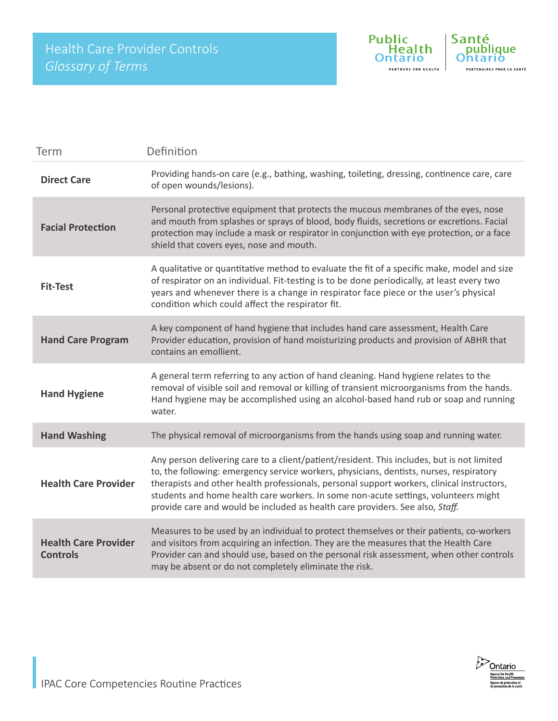

| Term                                           | Definition                                                                                                                                                                                                                                                                                                                                                                                                                                                  |
|------------------------------------------------|-------------------------------------------------------------------------------------------------------------------------------------------------------------------------------------------------------------------------------------------------------------------------------------------------------------------------------------------------------------------------------------------------------------------------------------------------------------|
| <b>Direct Care</b>                             | Providing hands-on care (e.g., bathing, washing, toileting, dressing, continence care, care<br>of open wounds/lesions).                                                                                                                                                                                                                                                                                                                                     |
| <b>Facial Protection</b>                       | Personal protective equipment that protects the mucous membranes of the eyes, nose<br>and mouth from splashes or sprays of blood, body fluids, secretions or excretions. Facial<br>protection may include a mask or respirator in conjunction with eye protection, or a face<br>shield that covers eyes, nose and mouth.                                                                                                                                    |
| <b>Fit-Test</b>                                | A qualitative or quantitative method to evaluate the fit of a specific make, model and size<br>of respirator on an individual. Fit-testing is to be done periodically, at least every two<br>years and whenever there is a change in respirator face piece or the user's physical<br>condition which could affect the respirator fit.                                                                                                                       |
| <b>Hand Care Program</b>                       | A key component of hand hygiene that includes hand care assessment, Health Care<br>Provider education, provision of hand moisturizing products and provision of ABHR that<br>contains an emollient.                                                                                                                                                                                                                                                         |
| <b>Hand Hygiene</b>                            | A general term referring to any action of hand cleaning. Hand hygiene relates to the<br>removal of visible soil and removal or killing of transient microorganisms from the hands.<br>Hand hygiene may be accomplished using an alcohol-based hand rub or soap and running<br>water.                                                                                                                                                                        |
| <b>Hand Washing</b>                            | The physical removal of microorganisms from the hands using soap and running water.                                                                                                                                                                                                                                                                                                                                                                         |
| <b>Health Care Provider</b>                    | Any person delivering care to a client/patient/resident. This includes, but is not limited<br>to, the following: emergency service workers, physicians, dentists, nurses, respiratory<br>therapists and other health professionals, personal support workers, clinical instructors,<br>students and home health care workers. In some non-acute settings, volunteers might<br>provide care and would be included as health care providers. See also, Staff. |
| <b>Health Care Provider</b><br><b>Controls</b> | Measures to be used by an individual to protect themselves or their patients, co-workers<br>and visitors from acquiring an infection. They are the measures that the Health Care<br>Provider can and should use, based on the personal risk assessment, when other controls<br>may be absent or do not completely eliminate the risk.                                                                                                                       |